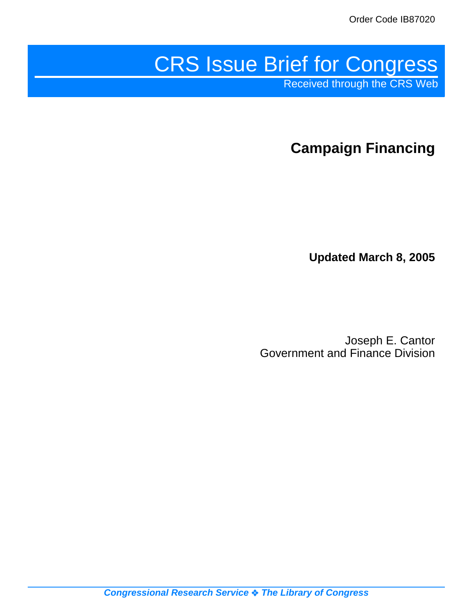# CRS Issue Brief for Congress

Received through the CRS Web

**Campaign Financing**

**Updated March 8, 2005**

Joseph E. Cantor Government and Finance Division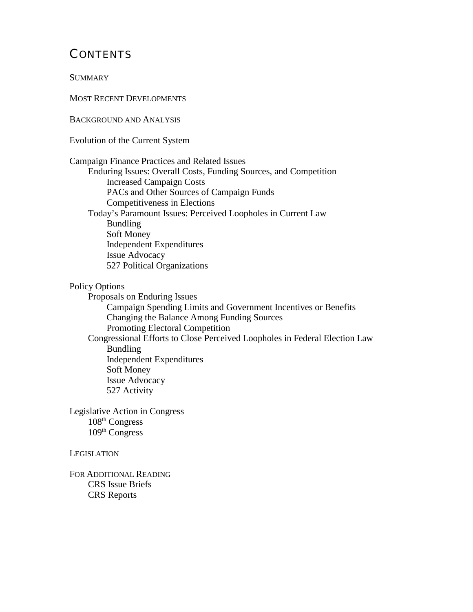## **CONTENTS**

**SUMMARY** 

MOST RECENT DEVELOPMENTS

BACKGROUND AND ANALYSIS

Evolution of the Current System

Campaign Finance Practices and Related Issues Enduring Issues: Overall Costs, Funding Sources, and Competition Increased Campaign Costs PACs and Other Sources of Campaign Funds Competitiveness in Elections Today's Paramount Issues: Perceived Loopholes in Current Law Bundling Soft Money Independent Expenditures Issue Advocacy 527 Political Organizations

Policy Options

Proposals on Enduring Issues

Campaign Spending Limits and Government Incentives or Benefits Changing the Balance Among Funding Sources Promoting Electoral Competition Congressional Efforts to Close Perceived Loopholes in Federal Election Law Bundling Independent Expenditures Soft Money Issue Advocacy 527 Activity

Legislative Action in Congress 108th Congress 109<sup>th</sup> Congress

**LEGISLATION** 

FOR ADDITIONAL READING CRS Issue Briefs CRS Reports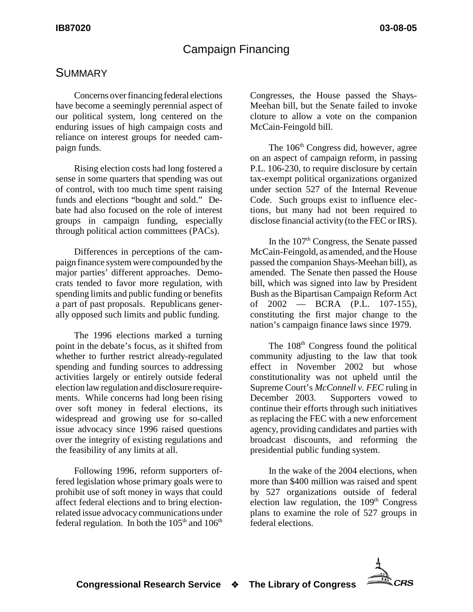## Campaign Financing

## **SUMMARY**

Concerns over financing federal elections have become a seemingly perennial aspect of our political system, long centered on the enduring issues of high campaign costs and reliance on interest groups for needed campaign funds.

Rising election costs had long fostered a sense in some quarters that spending was out of control, with too much time spent raising funds and elections "bought and sold." Debate had also focused on the role of interest groups in campaign funding, especially through political action committees (PACs).

Differences in perceptions of the campaign finance system were compounded by the major parties' different approaches. Democrats tended to favor more regulation, with spending limits and public funding or benefits a part of past proposals. Republicans generally opposed such limits and public funding.

The 1996 elections marked a turning point in the debate's focus, as it shifted from whether to further restrict already-regulated spending and funding sources to addressing activities largely or entirely outside federal election law regulation and disclosure requirements. While concerns had long been rising over soft money in federal elections, its widespread and growing use for so-called issue advocacy since 1996 raised questions over the integrity of existing regulations and the feasibility of any limits at all.

Following 1996, reform supporters offered legislation whose primary goals were to prohibit use of soft money in ways that could affect federal elections and to bring electionrelated issue advocacy communications under federal regulation. In both the  $105<sup>th</sup>$  and  $106<sup>th</sup>$  Congresses, the House passed the Shays-Meehan bill, but the Senate failed to invoke cloture to allow a vote on the companion McCain-Feingold bill.

The 106<sup>th</sup> Congress did, however, agree on an aspect of campaign reform, in passing P.L. 106-230, to require disclosure by certain tax-exempt political organizations organized under section 527 of the Internal Revenue Code. Such groups exist to influence elections, but many had not been required to disclose financial activity (to the FEC or IRS).

In the  $107<sup>th</sup>$  Congress, the Senate passed McCain-Feingold, as amended, and the House passed the companion Shays-Meehan bill), as amended. The Senate then passed the House bill, which was signed into law by President Bush as the Bipartisan Campaign Reform Act of 2002 — BCRA (P.L. 107-155), constituting the first major change to the nation's campaign finance laws since 1979.

The  $108<sup>th</sup>$  Congress found the political community adjusting to the law that took effect in November 2002 but whose constitutionality was not upheld until the Supreme Court's *McConnell v. FEC* ruling in<br>December 2003. Supporters vowed to Supporters vowed to continue their efforts through such initiatives as replacing the FEC with a new enforcement agency, providing candidates and parties with broadcast discounts, and reforming the presidential public funding system.

In the wake of the 2004 elections, when more than \$400 million was raised and spent by 527 organizations outside of federal election law regulation, the  $109<sup>th</sup>$  Congress plans to examine the role of 527 groups in federal elections.

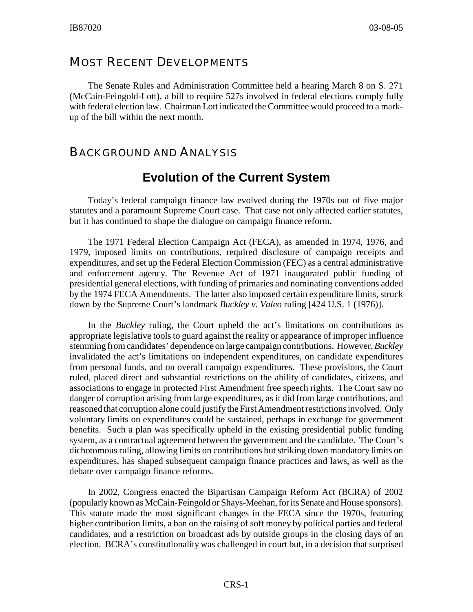### MOST RECENT DEVELOPMENTS

The Senate Rules and Administration Committee held a hearing March 8 on S. 271 (McCain-Feingold-Lott), a bill to require 527s involved in federal elections comply fully with federal election law. Chairman Lott indicated the Committee would proceed to a markup of the bill within the next month.

### BACKGROUND AND ANALYSIS

## **Evolution of the Current System**

Today's federal campaign finance law evolved during the 1970s out of five major statutes and a paramount Supreme Court case. That case not only affected earlier statutes, but it has continued to shape the dialogue on campaign finance reform.

The 1971 Federal Election Campaign Act (FECA), as amended in 1974, 1976, and 1979, imposed limits on contributions, required disclosure of campaign receipts and expenditures, and set up the Federal Election Commission (FEC) as a central administrative and enforcement agency. The Revenue Act of 1971 inaugurated public funding of presidential general elections, with funding of primaries and nominating conventions added by the 1974 FECA Amendments. The latter also imposed certain expenditure limits, struck down by the Supreme Court's landmark *Buckley v. Valeo* ruling [424 U.S. 1 (1976)].

In the *Buckley* ruling, the Court upheld the act's limitations on contributions as appropriate legislative tools to guard against the reality or appearance of improper influence stemming from candidates' dependence on large campaign contributions. However, *Buckley* invalidated the act's limitations on independent expenditures, on candidate expenditures from personal funds, and on overall campaign expenditures. These provisions, the Court ruled, placed direct and substantial restrictions on the ability of candidates, citizens, and associations to engage in protected First Amendment free speech rights. The Court saw no danger of corruption arising from large expenditures, as it did from large contributions, and reasoned that corruption alone could justify the First Amendment restrictions involved. Only voluntary limits on expenditures could be sustained, perhaps in exchange for government benefits. Such a plan was specifically upheld in the existing presidential public funding system, as a contractual agreement between the government and the candidate. The Court's dichotomous ruling, allowing limits on contributions but striking down mandatory limits on expenditures, has shaped subsequent campaign finance practices and laws, as well as the debate over campaign finance reforms.

In 2002, Congress enacted the Bipartisan Campaign Reform Act (BCRA) of 2002 (popularly known as McCain-Feingold or Shays-Meehan, for its Senate and House sponsors). This statute made the most significant changes in the FECA since the 1970s, featuring higher contribution limits, a ban on the raising of soft money by political parties and federal candidates, and a restriction on broadcast ads by outside groups in the closing days of an election. BCRA's constitutionality was challenged in court but, in a decision that surprised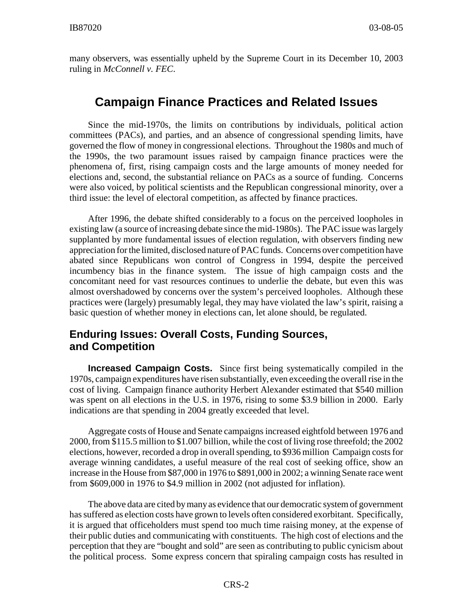many observers, was essentially upheld by the Supreme Court in its December 10, 2003 ruling in *McConnell v. FEC*.

## **Campaign Finance Practices and Related Issues**

Since the mid-1970s, the limits on contributions by individuals, political action committees (PACs), and parties, and an absence of congressional spending limits, have governed the flow of money in congressional elections. Throughout the 1980s and much of the 1990s, the two paramount issues raised by campaign finance practices were the phenomena of, first, rising campaign costs and the large amounts of money needed for elections and, second, the substantial reliance on PACs as a source of funding. Concerns were also voiced, by political scientists and the Republican congressional minority, over a third issue: the level of electoral competition, as affected by finance practices.

After 1996, the debate shifted considerably to a focus on the perceived loopholes in existing law (a source of increasing debate since the mid-1980s). The PAC issue was largely supplanted by more fundamental issues of election regulation, with observers finding new appreciation for the limited, disclosed nature of PAC funds. Concerns over competition have abated since Republicans won control of Congress in 1994, despite the perceived incumbency bias in the finance system. The issue of high campaign costs and the concomitant need for vast resources continues to underlie the debate, but even this was almost overshadowed by concerns over the system's perceived loopholes. Although these practices were (largely) presumably legal, they may have violated the law's spirit, raising a basic question of whether money in elections can, let alone should, be regulated.

### **Enduring Issues: Overall Costs, Funding Sources, and Competition**

**Increased Campaign Costs.** Since first being systematically compiled in the 1970s, campaign expenditures have risen substantially, even exceeding the overall rise in the cost of living. Campaign finance authority Herbert Alexander estimated that \$540 million was spent on all elections in the U.S. in 1976, rising to some \$3.9 billion in 2000. Early indications are that spending in 2004 greatly exceeded that level.

Aggregate costs of House and Senate campaigns increased eightfold between 1976 and 2000, from \$115.5 million to \$1.007 billion, while the cost of living rose threefold; the 2002 elections, however, recorded a drop in overall spending, to \$936 million Campaign costs for average winning candidates, a useful measure of the real cost of seeking office, show an increase in the House from \$87,000 in 1976 to \$891,000 in 2002; a winning Senate race went from \$609,000 in 1976 to \$4.9 million in 2002 (not adjusted for inflation).

The above data are cited by many as evidence that our democratic system of government has suffered as election costs have grown to levels often considered exorbitant. Specifically, it is argued that officeholders must spend too much time raising money, at the expense of their public duties and communicating with constituents. The high cost of elections and the perception that they are "bought and sold" are seen as contributing to public cynicism about the political process. Some express concern that spiraling campaign costs has resulted in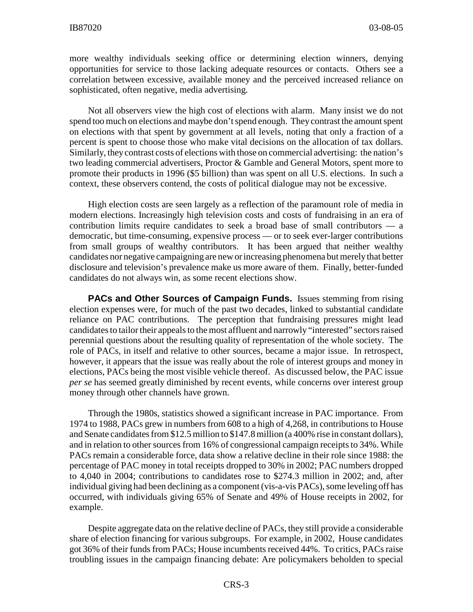more wealthy individuals seeking office or determining election winners, denying opportunities for service to those lacking adequate resources or contacts. Others see a correlation between excessive, available money and the perceived increased reliance on sophisticated, often negative, media advertising.

Not all observers view the high cost of elections with alarm. Many insist we do not spend too much on elections and maybe don't spend enough. They contrast the amount spent on elections with that spent by government at all levels, noting that only a fraction of a percent is spent to choose those who make vital decisions on the allocation of tax dollars. Similarly, they contrast costs of elections with those on commercial advertising: the nation's two leading commercial advertisers, Proctor & Gamble and General Motors, spent more to promote their products in 1996 (\$5 billion) than was spent on all U.S. elections. In such a context, these observers contend, the costs of political dialogue may not be excessive.

High election costs are seen largely as a reflection of the paramount role of media in modern elections. Increasingly high television costs and costs of fundraising in an era of contribution limits require candidates to seek a broad base of small contributors — a democratic, but time-consuming, expensive process — or to seek ever-larger contributions from small groups of wealthy contributors. It has been argued that neither wealthy candidates nor negative campaigning are new or increasing phenomena but merely that better disclosure and television's prevalence make us more aware of them. Finally, better-funded candidates do not always win, as some recent elections show.

**PACs and Other Sources of Campaign Funds.** Issues stemming from rising election expenses were, for much of the past two decades, linked to substantial candidate reliance on PAC contributions. The perception that fundraising pressures might lead candidates to tailor their appeals to the most affluent and narrowly "interested" sectors raised perennial questions about the resulting quality of representation of the whole society. The role of PACs, in itself and relative to other sources, became a major issue. In retrospect, however, it appears that the issue was really about the role of interest groups and money in elections, PACs being the most visible vehicle thereof. As discussed below, the PAC issue *per se* has seemed greatly diminished by recent events, while concerns over interest group money through other channels have grown.

Through the 1980s, statistics showed a significant increase in PAC importance. From 1974 to 1988, PACs grew in numbers from 608 to a high of 4,268, in contributions to House and Senate candidates from \$12.5 million to \$147.8 million (a 400% rise in constant dollars), and in relation to other sources from 16% of congressional campaign receipts to 34%. While PACs remain a considerable force, data show a relative decline in their role since 1988: the percentage of PAC money in total receipts dropped to 30% in 2002; PAC numbers dropped to 4,040 in 2004; contributions to candidates rose to \$274.3 million in 2002; and, after individual giving had been declining as a component (vis-a-vis PACs), some leveling off has occurred, with individuals giving 65% of Senate and 49% of House receipts in 2002, for example.

Despite aggregate data on the relative decline of PACs, they still provide a considerable share of election financing for various subgroups. For example, in 2002, House candidates got 36% of their funds from PACs; House incumbents received 44%. To critics, PACs raise troubling issues in the campaign financing debate: Are policymakers beholden to special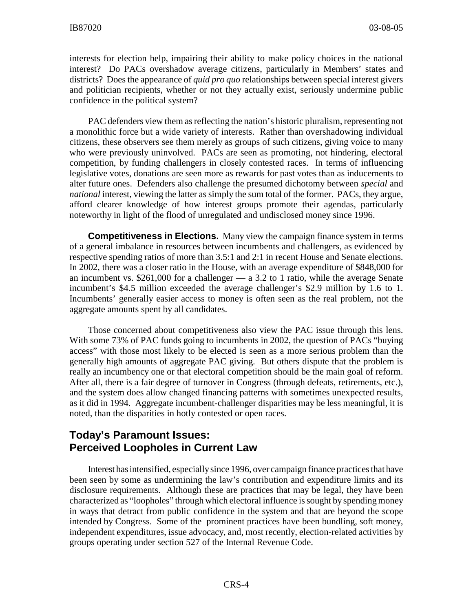interests for election help, impairing their ability to make policy choices in the national interest? Do PACs overshadow average citizens, particularly in Members' states and districts? Does the appearance of *quid pro quo* relationships between special interest givers and politician recipients, whether or not they actually exist, seriously undermine public confidence in the political system?

PAC defenders view them as reflecting the nation's historic pluralism, representing not a monolithic force but a wide variety of interests. Rather than overshadowing individual citizens, these observers see them merely as groups of such citizens, giving voice to many who were previously uninvolved. PACs are seen as promoting, not hindering, electoral competition, by funding challengers in closely contested races. In terms of influencing legislative votes, donations are seen more as rewards for past votes than as inducements to alter future ones. Defenders also challenge the presumed dichotomy between *special* and *national* interest, viewing the latter as simply the sum total of the former. PACs, they argue, afford clearer knowledge of how interest groups promote their agendas, particularly noteworthy in light of the flood of unregulated and undisclosed money since 1996.

**Competitiveness in Elections.** Many view the campaign finance system in terms of a general imbalance in resources between incumbents and challengers, as evidenced by respective spending ratios of more than 3.5:1 and 2:1 in recent House and Senate elections. In 2002, there was a closer ratio in the House, with an average expenditure of \$848,000 for an incumbent vs. \$261,000 for a challenger — a 3.2 to 1 ratio, while the average Senate incumbent's \$4.5 million exceeded the average challenger's \$2.9 million by 1.6 to 1. Incumbents' generally easier access to money is often seen as the real problem, not the aggregate amounts spent by all candidates.

Those concerned about competitiveness also view the PAC issue through this lens. With some 73% of PAC funds going to incumbents in 2002, the question of PACs "buying access" with those most likely to be elected is seen as a more serious problem than the generally high amounts of aggregate PAC giving. But others dispute that the problem is really an incumbency one or that electoral competition should be the main goal of reform. After all, there is a fair degree of turnover in Congress (through defeats, retirements, etc.), and the system does allow changed financing patterns with sometimes unexpected results, as it did in 1994. Aggregate incumbent-challenger disparities may be less meaningful, it is noted, than the disparities in hotly contested or open races.

#### **Today's Paramount Issues: Perceived Loopholes in Current Law**

Interest has intensified, especially since 1996, over campaign finance practices that have been seen by some as undermining the law's contribution and expenditure limits and its disclosure requirements. Although these are practices that may be legal, they have been characterized as "loopholes" through which electoral influence is sought by spending money in ways that detract from public confidence in the system and that are beyond the scope intended by Congress. Some of the prominent practices have been bundling, soft money, independent expenditures, issue advocacy, and, most recently, election-related activities by groups operating under section 527 of the Internal Revenue Code.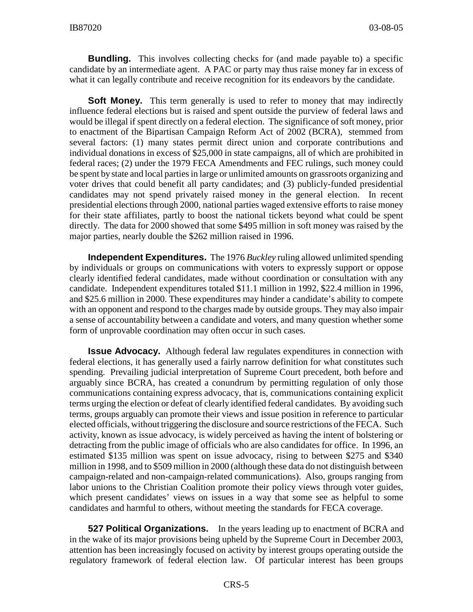**Bundling.** This involves collecting checks for (and made payable to) a specific candidate by an intermediate agent. A PAC or party may thus raise money far in excess of what it can legally contribute and receive recognition for its endeavors by the candidate.

**Soft Money.** This term generally is used to refer to money that may indirectly influence federal elections but is raised and spent outside the purview of federal laws and would be illegal if spent directly on a federal election. The significance of soft money, prior to enactment of the Bipartisan Campaign Reform Act of 2002 (BCRA), stemmed from several factors: (1) many states permit direct union and corporate contributions and individual donations in excess of \$25,000 in state campaigns, all of which are prohibited in federal races; (2) under the 1979 FECA Amendments and FEC rulings, such money could be spent by state and local parties in large or unlimited amounts on grassroots organizing and voter drives that could benefit all party candidates; and (3) publicly-funded presidential candidates may not spend privately raised money in the general election. In recent presidential elections through 2000, national parties waged extensive efforts to raise money for their state affiliates, partly to boost the national tickets beyond what could be spent directly. The data for 2000 showed that some \$495 million in soft money was raised by the major parties, nearly double the \$262 million raised in 1996.

**Independent Expenditures.** The 1976 *Buckley* ruling allowed unlimited spending by individuals or groups on communications with voters to expressly support or oppose clearly identified federal candidates, made without coordination or consultation with any candidate. Independent expenditures totaled \$11.1 million in 1992, \$22.4 million in 1996, and \$25.6 million in 2000. These expenditures may hinder a candidate's ability to compete with an opponent and respond to the charges made by outside groups. They may also impair a sense of accountability between a candidate and voters, and many question whether some form of unprovable coordination may often occur in such cases.

**Issue Advocacy.** Although federal law regulates expenditures in connection with federal elections, it has generally used a fairly narrow definition for what constitutes such spending. Prevailing judicial interpretation of Supreme Court precedent, both before and arguably since BCRA, has created a conundrum by permitting regulation of only those communications containing express advocacy, that is, communications containing explicit terms urging the election or defeat of clearly identified federal candidates. By avoiding such terms, groups arguably can promote their views and issue position in reference to particular elected officials, without triggering the disclosure and source restrictions of the FECA. Such activity, known as issue advocacy, is widely perceived as having the intent of bolstering or detracting from the public image of officials who are also candidates for office. In 1996, an estimated \$135 million was spent on issue advocacy, rising to between \$275 and \$340 million in 1998, and to \$509 million in 2000 (although these data do not distinguish between campaign-related and non-campaign-related communications). Also, groups ranging from labor unions to the Christian Coalition promote their policy views through voter guides, which present candidates' views on issues in a way that some see as helpful to some candidates and harmful to others, without meeting the standards for FECA coverage.

**527 Political Organizations.** In the years leading up to enactment of BCRA and in the wake of its major provisions being upheld by the Supreme Court in December 2003, attention has been increasingly focused on activity by interest groups operating outside the regulatory framework of federal election law. Of particular interest has been groups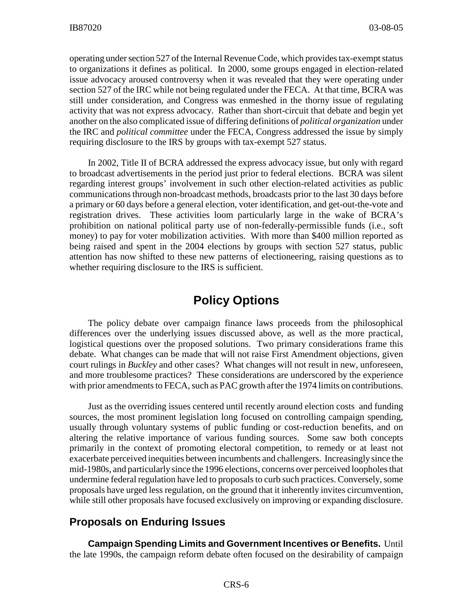operating under section 527 of the Internal Revenue Code, which provides tax-exempt status to organizations it defines as political. In 2000, some groups engaged in election-related issue advocacy aroused controversy when it was revealed that they were operating under section 527 of the IRC while not being regulated under the FECA. At that time, BCRA was still under consideration, and Congress was enmeshed in the thorny issue of regulating activity that was not express advocacy. Rather than short-circuit that debate and begin yet another on the also complicated issue of differing definitions of *political organization* under the IRC and *political committee* under the FECA, Congress addressed the issue by simply requiring disclosure to the IRS by groups with tax-exempt 527 status.

In 2002, Title II of BCRA addressed the express advocacy issue, but only with regard to broadcast advertisements in the period just prior to federal elections. BCRA was silent regarding interest groups' involvement in such other election-related activities as public communications through non-broadcast methods, broadcasts prior to the last 30 days before a primary or 60 days before a general election, voter identification, and get-out-the-vote and registration drives. These activities loom particularly large in the wake of BCRA's prohibition on national political party use of non-federally-permissible funds (i.e., soft money) to pay for voter mobilization activities. With more than \$400 million reported as being raised and spent in the 2004 elections by groups with section 527 status, public attention has now shifted to these new patterns of electioneering, raising questions as to whether requiring disclosure to the IRS is sufficient.

## **Policy Options**

The policy debate over campaign finance laws proceeds from the philosophical differences over the underlying issues discussed above, as well as the more practical, logistical questions over the proposed solutions. Two primary considerations frame this debate. What changes can be made that will not raise First Amendment objections, given court rulings in *Buckley* and other cases? What changes will not result in new, unforeseen, and more troublesome practices? These considerations are underscored by the experience with prior amendments to FECA, such as PAC growth after the 1974 limits on contributions.

Just as the overriding issues centered until recently around election costs and funding sources, the most prominent legislation long focused on controlling campaign spending, usually through voluntary systems of public funding or cost-reduction benefits, and on altering the relative importance of various funding sources. Some saw both concepts primarily in the context of promoting electoral competition, to remedy or at least not exacerbate perceived inequities between incumbents and challengers. Increasingly since the mid-1980s, and particularly since the 1996 elections, concerns over perceived loopholes that undermine federal regulation have led to proposals to curb such practices. Conversely, some proposals have urged less regulation, on the ground that it inherently invites circumvention, while still other proposals have focused exclusively on improving or expanding disclosure.

#### **Proposals on Enduring Issues**

**Campaign Spending Limits and Government Incentives or Benefits.** Until the late 1990s, the campaign reform debate often focused on the desirability of campaign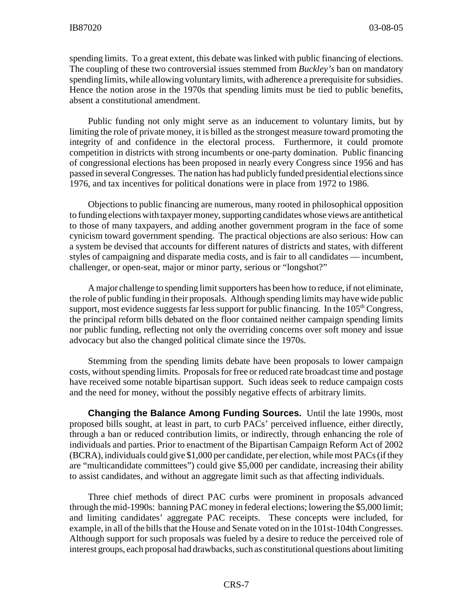spending limits. To a great extent, this debate was linked with public financing of elections. The coupling of these two controversial issues stemmed from *Buckley's* ban on mandatory spending limits, while allowing voluntary limits, with adherence a prerequisite for subsidies. Hence the notion arose in the 1970s that spending limits must be tied to public benefits, absent a constitutional amendment.

Public funding not only might serve as an inducement to voluntary limits, but by limiting the role of private money, it is billed as the strongest measure toward promoting the integrity of and confidence in the electoral process. Furthermore, it could promote competition in districts with strong incumbents or one-party domination. Public financing of congressional elections has been proposed in nearly every Congress since 1956 and has passed in several Congresses. The nation has had publicly funded presidential elections since 1976, and tax incentives for political donations were in place from 1972 to 1986.

Objections to public financing are numerous, many rooted in philosophical opposition to funding elections with taxpayer money, supporting candidates whose views are antithetical to those of many taxpayers, and adding another government program in the face of some cynicism toward government spending. The practical objections are also serious: How can a system be devised that accounts for different natures of districts and states, with different styles of campaigning and disparate media costs, and is fair to all candidates — incumbent, challenger, or open-seat, major or minor party, serious or "longshot?"

A major challenge to spending limit supporters has been how to reduce, if not eliminate, the role of public funding in their proposals. Although spending limits may have wide public support, most evidence suggests far less support for public financing. In the  $105<sup>th</sup> Congress$ , the principal reform bills debated on the floor contained neither campaign spending limits nor public funding, reflecting not only the overriding concerns over soft money and issue advocacy but also the changed political climate since the 1970s.

Stemming from the spending limits debate have been proposals to lower campaign costs, without spending limits. Proposals for free or reduced rate broadcast time and postage have received some notable bipartisan support. Such ideas seek to reduce campaign costs and the need for money, without the possibly negative effects of arbitrary limits.

**Changing the Balance Among Funding Sources.** Until the late 1990s, most proposed bills sought, at least in part, to curb PACs' perceived influence, either directly, through a ban or reduced contribution limits, or indirectly, through enhancing the role of individuals and parties. Prior to enactment of the Bipartisan Campaign Reform Act of 2002 (BCRA), individuals could give \$1,000 per candidate, per election, while most PACs (if they are "multicandidate committees") could give \$5,000 per candidate, increasing their ability to assist candidates, and without an aggregate limit such as that affecting individuals.

Three chief methods of direct PAC curbs were prominent in proposals advanced through the mid-1990s: banning PAC money in federal elections; lowering the \$5,000 limit; and limiting candidates' aggregate PAC receipts. These concepts were included, for example, in all of the bills that the House and Senate voted on in the 101st-104th Congresses. Although support for such proposals was fueled by a desire to reduce the perceived role of interest groups, each proposal had drawbacks, such as constitutional questions about limiting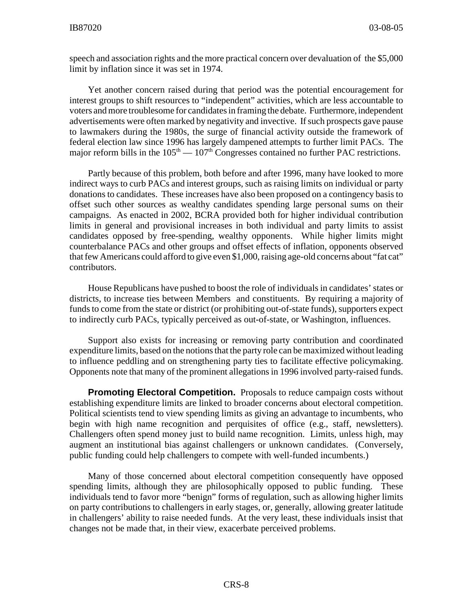speech and association rights and the more practical concern over devaluation of the \$5,000 limit by inflation since it was set in 1974.

Yet another concern raised during that period was the potential encouragement for interest groups to shift resources to "independent" activities, which are less accountable to voters and more troublesome for candidates in framing the debate. Furthermore, independent advertisements were often marked by negativity and invective. If such prospects gave pause to lawmakers during the 1980s, the surge of financial activity outside the framework of federal election law since 1996 has largely dampened attempts to further limit PACs. The major reform bills in the  $105<sup>th</sup> - 107<sup>th</sup>$  Congresses contained no further PAC restrictions.

Partly because of this problem, both before and after 1996, many have looked to more indirect ways to curb PACs and interest groups, such as raising limits on individual or party donations to candidates. These increases have also been proposed on a contingency basis to offset such other sources as wealthy candidates spending large personal sums on their campaigns. As enacted in 2002, BCRA provided both for higher individual contribution limits in general and provisional increases in both individual and party limits to assist candidates opposed by free-spending, wealthy opponents. While higher limits might counterbalance PACs and other groups and offset effects of inflation, opponents observed that few Americans could afford to give even \$1,000, raising age-old concerns about "fat cat" contributors.

House Republicans have pushed to boost the role of individuals in candidates' states or districts, to increase ties between Members and constituents. By requiring a majority of funds to come from the state or district (or prohibiting out-of-state funds), supporters expect to indirectly curb PACs, typically perceived as out-of-state, or Washington, influences.

Support also exists for increasing or removing party contribution and coordinated expenditure limits, based on the notions that the party role can be maximized without leading to influence peddling and on strengthening party ties to facilitate effective policymaking. Opponents note that many of the prominent allegations in 1996 involved party-raised funds.

**Promoting Electoral Competition.** Proposals to reduce campaign costs without establishing expenditure limits are linked to broader concerns about electoral competition. Political scientists tend to view spending limits as giving an advantage to incumbents, who begin with high name recognition and perquisites of office (e.g., staff, newsletters). Challengers often spend money just to build name recognition. Limits, unless high, may augment an institutional bias against challengers or unknown candidates. (Conversely, public funding could help challengers to compete with well-funded incumbents.)

Many of those concerned about electoral competition consequently have opposed spending limits, although they are philosophically opposed to public funding. These individuals tend to favor more "benign" forms of regulation, such as allowing higher limits on party contributions to challengers in early stages, or, generally, allowing greater latitude in challengers' ability to raise needed funds. At the very least, these individuals insist that changes not be made that, in their view, exacerbate perceived problems.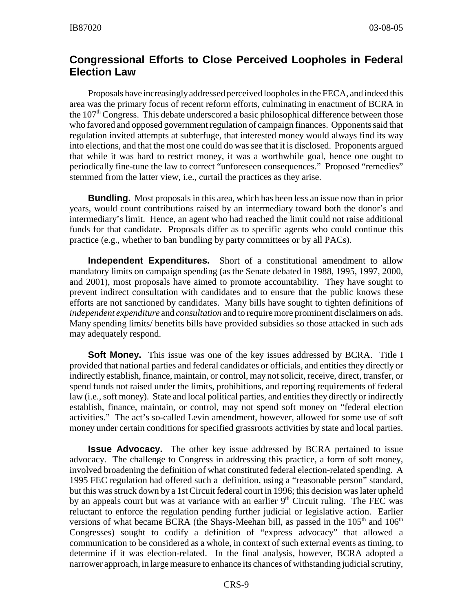#### **Congressional Efforts to Close Perceived Loopholes in Federal Election Law**

Proposals have increasingly addressed perceived loopholes in the FECA, and indeed this area was the primary focus of recent reform efforts, culminating in enactment of BCRA in the  $107<sup>th</sup>$  Congress. This debate underscored a basic philosophical difference between those who favored and opposed government regulation of campaign finances. Opponents said that regulation invited attempts at subterfuge, that interested money would always find its way into elections, and that the most one could do was see that it is disclosed. Proponents argued that while it was hard to restrict money, it was a worthwhile goal, hence one ought to periodically fine-tune the law to correct "unforeseen consequences." Proposed "remedies" stemmed from the latter view, i.e., curtail the practices as they arise.

**Bundling.** Most proposals in this area, which has been less an issue now than in prior years, would count contributions raised by an intermediary toward both the donor's and intermediary's limit. Hence, an agent who had reached the limit could not raise additional funds for that candidate. Proposals differ as to specific agents who could continue this practice (e.g., whether to ban bundling by party committees or by all PACs).

**Independent Expenditures.** Short of a constitutional amendment to allow mandatory limits on campaign spending (as the Senate debated in 1988, 1995, 1997, 2000, and 2001), most proposals have aimed to promote accountability. They have sought to prevent indirect consultation with candidates and to ensure that the public knows these efforts are not sanctioned by candidates. Many bills have sought to tighten definitions of *independent expenditure* and *consultation* and to require more prominent disclaimers on ads. Many spending limits/ benefits bills have provided subsidies so those attacked in such ads may adequately respond.

**Soft Money.** This issue was one of the key issues addressed by BCRA. Title I provided that national parties and federal candidates or officials, and entities they directly or indirectly establish, finance, maintain, or control, may not solicit, receive, direct, transfer, or spend funds not raised under the limits, prohibitions, and reporting requirements of federal law (i.e., soft money). State and local political parties, and entities they directly or indirectly establish, finance, maintain, or control, may not spend soft money on "federal election activities." The act's so-called Levin amendment, however, allowed for some use of soft money under certain conditions for specified grassroots activities by state and local parties.

**Issue Advocacy.** The other key issue addressed by BCRA pertained to issue advocacy. The challenge to Congress in addressing this practice, a form of soft money, involved broadening the definition of what constituted federal election-related spending. A 1995 FEC regulation had offered such a definition, using a "reasonable person" standard, but this was struck down by a 1st Circuit federal court in 1996; this decision was later upheld by an appeals court but was at variance with an earlier  $9<sup>th</sup>$  Circuit ruling. The FEC was reluctant to enforce the regulation pending further judicial or legislative action. Earlier versions of what became BCRA (the Shays-Meehan bill, as passed in the  $105<sup>th</sup>$  and  $106<sup>th</sup>$ Congresses) sought to codify a definition of "express advocacy" that allowed a communication to be considered as a whole, in context of such external events as timing, to determine if it was election-related. In the final analysis, however, BCRA adopted a narrower approach, in large measure to enhance its chances of withstanding judicial scrutiny,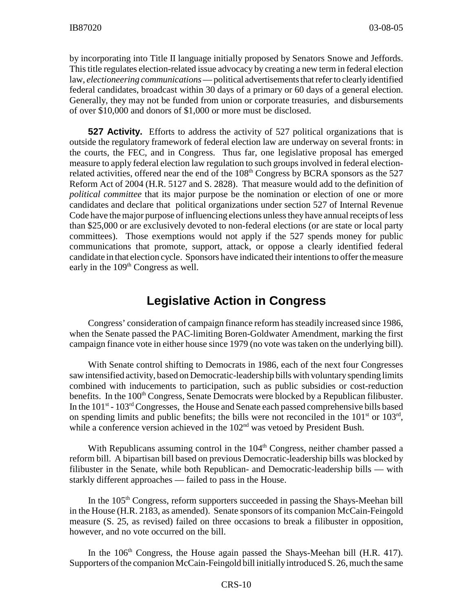by incorporating into Title II language initially proposed by Senators Snowe and Jeffords. This title regulates election-related issue advocacy by creating a new term in federal election law, *electioneering communications* — political advertisements that refer to clearly identified federal candidates, broadcast within 30 days of a primary or 60 days of a general election. Generally, they may not be funded from union or corporate treasuries, and disbursements of over \$10,000 and donors of \$1,000 or more must be disclosed.

**527 Activity.** Efforts to address the activity of 527 political organizations that is outside the regulatory framework of federal election law are underway on several fronts: in the courts, the FEC, and in Congress. Thus far, one legislative proposal has emerged measure to apply federal election law regulation to such groups involved in federal electionrelated activities, offered near the end of the 108<sup>th</sup> Congress by BCRA sponsors as the 527 Reform Act of 2004 (H.R. 5127 and S. 2828). That measure would add to the definition of *political committee* that its major purpose be the nomination or election of one or more candidates and declare that political organizations under section 527 of Internal Revenue Code have the major purpose of influencing elections unless they have annual receipts of less than \$25,000 or are exclusively devoted to non-federal elections (or are state or local party committees). Those exemptions would not apply if the 527 spends money for public communications that promote, support, attack, or oppose a clearly identified federal candidate in that election cycle. Sponsors have indicated their intentions to offer the measure early in the  $109<sup>th</sup>$  Congress as well.

### **Legislative Action in Congress**

Congress' consideration of campaign finance reform has steadily increased since 1986, when the Senate passed the PAC-limiting Boren-Goldwater Amendment, marking the first campaign finance vote in either house since 1979 (no vote was taken on the underlying bill).

With Senate control shifting to Democrats in 1986, each of the next four Congresses saw intensified activity, based on Democratic-leadership bills with voluntary spending limits combined with inducements to participation, such as public subsidies or cost-reduction benefits. In the 100<sup>th</sup> Congress, Senate Democrats were blocked by a Republican filibuster. In the  $101<sup>st</sup>$  -  $103<sup>rd</sup>$  Congresses, the House and Senate each passed comprehensive bills based on spending limits and public benefits; the bills were not reconciled in the  $101<sup>st</sup>$  or  $103<sup>rd</sup>$ , while a conference version achieved in the  $102<sup>nd</sup>$  was vetoed by President Bush.

With Republicans assuming control in the 104<sup>th</sup> Congress, neither chamber passed a reform bill. A bipartisan bill based on previous Democratic-leadership bills was blocked by filibuster in the Senate, while both Republican- and Democratic-leadership bills — with starkly different approaches — failed to pass in the House.

In the 105<sup>th</sup> Congress, reform supporters succeeded in passing the Shays-Meehan bill in the House (H.R. 2183, as amended). Senate sponsors of its companion McCain-Feingold measure (S. 25, as revised) failed on three occasions to break a filibuster in opposition, however, and no vote occurred on the bill.

In the  $106<sup>th</sup>$  Congress, the House again passed the Shays-Meehan bill (H.R. 417). Supporters of the companion McCain-Feingold bill initially introduced S. 26, much the same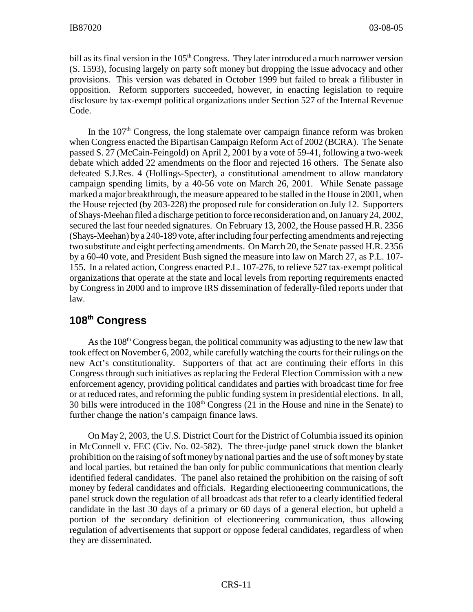bill as its final version in the  $105<sup>th</sup> Congress$ . They later introduced a much narrower version (S. 1593), focusing largely on party soft money but dropping the issue advocacy and other provisions. This version was debated in October 1999 but failed to break a filibuster in opposition. Reform supporters succeeded, however, in enacting legislation to require disclosure by tax-exempt political organizations under Section 527 of the Internal Revenue Code.

In the  $107<sup>th</sup>$  Congress, the long stalemate over campaign finance reform was broken when Congress enacted the Bipartisan Campaign Reform Act of 2002 (BCRA). The Senate passed S. 27 (McCain-Feingold) on April 2, 2001 by a vote of 59-41, following a two-week debate which added 22 amendments on the floor and rejected 16 others. The Senate also defeated S.J.Res. 4 (Hollings-Specter), a constitutional amendment to allow mandatory campaign spending limits, by a 40-56 vote on March 26, 2001. While Senate passage marked a major breakthrough, the measure appeared to be stalled in the House in 2001, when the House rejected (by 203-228) the proposed rule for consideration on July 12. Supporters of Shays-Meehan filed a discharge petition to force reconsideration and, on January 24, 2002, secured the last four needed signatures. On February 13, 2002, the House passed H.R. 2356 (Shays-Meehan) by a 240-189 vote, after including four perfecting amendments and rejecting two substitute and eight perfecting amendments. On March 20, the Senate passed H.R. 2356 by a 60-40 vote, and President Bush signed the measure into law on March 27, as P.L. 107- 155. In a related action, Congress enacted P.L. 107-276, to relieve 527 tax-exempt political organizations that operate at the state and local levels from reporting requirements enacted by Congress in 2000 and to improve IRS dissemination of federally-filed reports under that law.

### **108th Congress**

As the  $108<sup>th</sup>$  Congress began, the political community was adjusting to the new law that took effect on November 6, 2002, while carefully watching the courts for their rulings on the new Act's constitutionality. Supporters of that act are continuing their efforts in this Congress through such initiatives as replacing the Federal Election Commission with a new enforcement agency, providing political candidates and parties with broadcast time for free or at reduced rates, and reforming the public funding system in presidential elections. In all, 30 bills were introduced in the  $108<sup>th</sup>$  Congress (21 in the House and nine in the Senate) to further change the nation's campaign finance laws.

On May 2, 2003, the U.S. District Court for the District of Columbia issued its opinion in McConnell v. FEC (Civ. No. 02-582). The three-judge panel struck down the blanket prohibition on the raising of soft money by national parties and the use of soft money by state and local parties, but retained the ban only for public communications that mention clearly identified federal candidates. The panel also retained the prohibition on the raising of soft money by federal candidates and officials. Regarding electioneering communications, the panel struck down the regulation of all broadcast ads that refer to a clearly identified federal candidate in the last 30 days of a primary or 60 days of a general election, but upheld a portion of the secondary definition of electioneering communication, thus allowing regulation of advertisements that support or oppose federal candidates, regardless of when they are disseminated.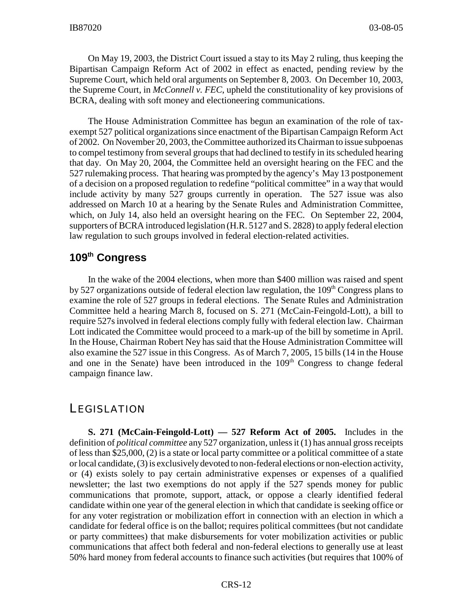On May 19, 2003, the District Court issued a stay to its May 2 ruling, thus keeping the Bipartisan Campaign Reform Act of 2002 in effect as enacted, pending review by the Supreme Court, which held oral arguments on September 8, 2003. On December 10, 2003, the Supreme Court, in *McConnell v. FEC*, upheld the constitutionality of key provisions of BCRA, dealing with soft money and electioneering communications.

The House Administration Committee has begun an examination of the role of taxexempt 527 political organizations since enactment of the Bipartisan Campaign Reform Act of 2002. On November 20, 2003, the Committee authorized its Chairman to issue subpoenas to compel testimony from several groups that had declined to testify in its scheduled hearing that day. On May 20, 2004, the Committee held an oversight hearing on the FEC and the 527 rulemaking process. That hearing was prompted by the agency's May 13 postponement of a decision on a proposed regulation to redefine "political committee" in a way that would include activity by many 527 groups currently in operation. The 527 issue was also addressed on March 10 at a hearing by the Senate Rules and Administration Committee, which, on July 14, also held an oversight hearing on the FEC. On September 22, 2004, supporters of BCRA introduced legislation (H.R. 5127 and S. 2828) to apply federal election law regulation to such groups involved in federal election-related activities.

## **109th Congress**

In the wake of the 2004 elections, when more than \$400 million was raised and spent by 527 organizations outside of federal election law regulation, the  $109<sup>th</sup>$  Congress plans to examine the role of 527 groups in federal elections. The Senate Rules and Administration Committee held a hearing March 8, focused on S. 271 (McCain-Feingold-Lott), a bill to require 527s involved in federal elections comply fully with federal election law. Chairman Lott indicated the Committee would proceed to a mark-up of the bill by sometime in April. In the House, Chairman Robert Ney has said that the House Administration Committee will also examine the 527 issue in this Congress. As of March 7, 2005, 15 bills (14 in the House and one in the Senate) have been introduced in the  $109<sup>th</sup>$  Congress to change federal campaign finance law.

#### **LEGISLATION**

**S. 271 (McCain-Feingold-Lott) — 527 Reform Act of 2005.** Includes in the definition of *political committee* any 527 organization, unless it (1) has annual gross receipts of less than \$25,000, (2) is a state or local party committee or a political committee of a state or local candidate, (3) is exclusively devoted to non-federal elections or non-election activity, or (4) exists solely to pay certain administrative expenses or expenses of a qualified newsletter; the last two exemptions do not apply if the 527 spends money for public communications that promote, support, attack, or oppose a clearly identified federal candidate within one year of the general election in which that candidate is seeking office or for any voter registration or mobilization effort in connection with an election in which a candidate for federal office is on the ballot; requires political committees (but not candidate or party committees) that make disbursements for voter mobilization activities or public communications that affect both federal and non-federal elections to generally use at least 50% hard money from federal accounts to finance such activities (but requires that 100% of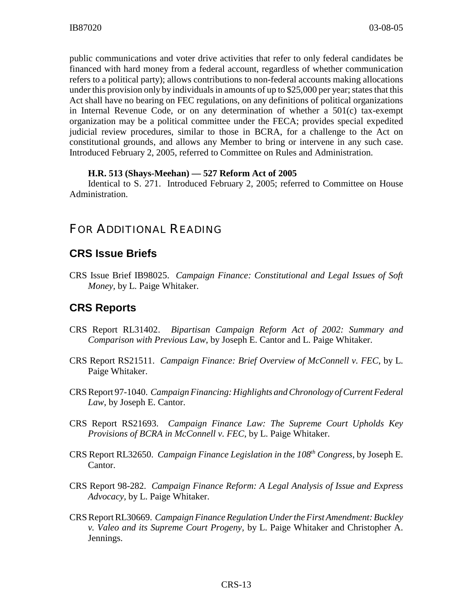public communications and voter drive activities that refer to only federal candidates be financed with hard money from a federal account, regardless of whether communication refers to a political party); allows contributions to non-federal accounts making allocations under this provision only by individuals in amounts of up to \$25,000 per year; states that this Act shall have no bearing on FEC regulations, on any definitions of political organizations in Internal Revenue Code, or on any determination of whether a 501(c) tax-exempt organization may be a political committee under the FECA; provides special expedited judicial review procedures, similar to those in BCRA, for a challenge to the Act on constitutional grounds, and allows any Member to bring or intervene in any such case. Introduced February 2, 2005, referred to Committee on Rules and Administration.

#### **H.R. 513 (Shays-Meehan) — 527 Reform Act of 2005**

Identical to S. 271. Introduced February 2, 2005; referred to Committee on House Administration.

## FOR ADDITIONAL READING

#### **CRS Issue Briefs**

CRS Issue Brief IB98025. *Campaign Finance: Constitutional and Legal Issues of Soft Money,* by L. Paige Whitaker.

#### **CRS Reports**

- CRS Report RL31402. *Bipartisan Campaign Reform Act of 2002: Summary and Comparison with Previous Law*, by Joseph E. Cantor and L. Paige Whitaker.
- CRS Report RS21511. *Campaign Finance: Brief Overview of McConnell v. FEC*, by L. Paige Whitaker.
- CRS Report 97-1040. *Campaign Financing: Highlights and Chronology of Current Federal Law*, by Joseph E. Cantor.
- CRS Report RS21693. *Campaign Finance Law: The Supreme Court Upholds Key Provisions of BCRA in McConnell v. FEC*, by L. Paige Whitaker.
- CRS Report RL32650. *Campaign Finance Legislation in the 108th Congress*, by Joseph E. Cantor.
- CRS Report 98-282. *Campaign Finance Reform: A Legal Analysis of Issue and Express Advocacy,* by L. Paige Whitaker.
- CRS Report RL30669. *Campaign Finance Regulation Under the First Amendment: Buckley v. Valeo and its Supreme Court Progeny,* by L. Paige Whitaker and Christopher A. Jennings.